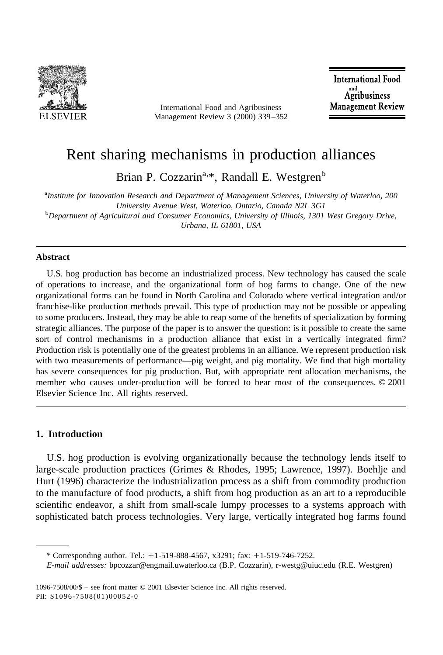

International Food and Agribusiness Management Review 3 (2000) 339–352

**International Food** Agribusiness **Management Review** 

# Rent sharing mechanisms in production alliances

Brian P. Cozzarin<sup>a,\*</sup>, Randall E. Westgren<sup>b</sup>

a *Institute for Innovation Research and Department of Management Sciences, University of Waterloo, 200 University Avenue West, Waterloo, Ontario, Canada N2L 3G1* <sup>b</sup>

*Department of Agricultural and Consumer Economics, University of Illinois, 1301 West Gregory Drive, Urbana, IL 61801, USA*

#### **Abstract**

U.S. hog production has become an industrialized process. New technology has caused the scale of operations to increase, and the organizational form of hog farms to change. One of the new organizational forms can be found in North Carolina and Colorado where vertical integration and/or franchise-like production methods prevail. This type of production may not be possible or appealing to some producers. Instead, they may be able to reap some of the benefits of specialization by forming strategic alliances. The purpose of the paper is to answer the question: is it possible to create the same sort of control mechanisms in a production alliance that exist in a vertically integrated firm? Production risk is potentially one of the greatest problems in an alliance. We represent production risk with two measurements of performance—pig weight, and pig mortality. We find that high mortality has severe consequences for pig production. But, with appropriate rent allocation mechanisms, the member who causes under-production will be forced to bear most of the consequences. © 2001 Elsevier Science Inc. All rights reserved.

# **1. Introduction**

U.S. hog production is evolving organizationally because the technology lends itself to large-scale production practices (Grimes & Rhodes, 1995; Lawrence, 1997). Boehlje and Hurt (1996) characterize the industrialization process as a shift from commodity production to the manufacture of food products, a shift from hog production as an art to a reproducible scientific endeavor, a shift from small-scale lumpy processes to a systems approach with sophisticated batch process technologies. Very large, vertically integrated hog farms found

\* Corresponding author. Tel.:  $+1-519-888-4567$ , x3291; fax:  $+1-519-746-7252$ .

*E-mail addresses:* bpcozzar@engmail.uwaterloo.ca (B.P. Cozzarin), r-westg@uiuc.edu (R.E. Westgren)

1096-7508/00/\$ – see front matter © 2001 Elsevier Science Inc. All rights reserved. PII: S1096-7508(01)00052-0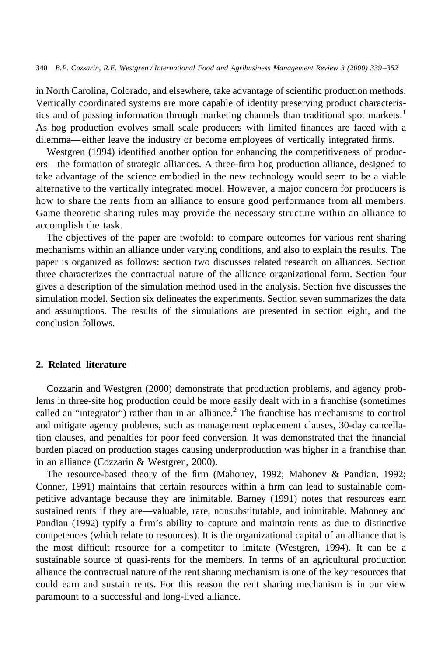in North Carolina, Colorado, and elsewhere, take advantage of scientific production methods. Vertically coordinated systems are more capable of identity preserving product characteristics and of passing information through marketing channels than traditional spot markets.<sup>1</sup> As hog production evolves small scale producers with limited finances are faced with a dilemma—either leave the industry or become employees of vertically integrated firms.

Westgren (1994) identified another option for enhancing the competitiveness of producers—the formation of strategic alliances. A three-firm hog production alliance, designed to take advantage of the science embodied in the new technology would seem to be a viable alternative to the vertically integrated model. However, a major concern for producers is how to share the rents from an alliance to ensure good performance from all members. Game theoretic sharing rules may provide the necessary structure within an alliance to accomplish the task.

The objectives of the paper are twofold: to compare outcomes for various rent sharing mechanisms within an alliance under varying conditions, and also to explain the results. The paper is organized as follows: section two discusses related research on alliances. Section three characterizes the contractual nature of the alliance organizational form. Section four gives a description of the simulation method used in the analysis. Section five discusses the simulation model. Section six delineates the experiments. Section seven summarizes the data and assumptions. The results of the simulations are presented in section eight, and the conclusion follows.

#### **2. Related literature**

Cozzarin and Westgren (2000) demonstrate that production problems, and agency problems in three-site hog production could be more easily dealt with in a franchise (sometimes called an "integrator") rather than in an alliance.<sup>2</sup> The franchise has mechanisms to control and mitigate agency problems, such as management replacement clauses, 30-day cancellation clauses, and penalties for poor feed conversion. It was demonstrated that the financial burden placed on production stages causing underproduction was higher in a franchise than in an alliance (Cozzarin & Westgren, 2000).

The resource-based theory of the firm (Mahoney, 1992; Mahoney & Pandian, 1992; Conner, 1991) maintains that certain resources within a firm can lead to sustainable competitive advantage because they are inimitable. Barney (1991) notes that resources earn sustained rents if they are—valuable, rare, nonsubstitutable, and inimitable. Mahoney and Pandian (1992) typify a firm's ability to capture and maintain rents as due to distinctive competences (which relate to resources). It is the organizational capital of an alliance that is the most difficult resource for a competitor to imitate (Westgren, 1994). It can be a sustainable source of quasi-rents for the members. In terms of an agricultural production alliance the contractual nature of the rent sharing mechanism is one of the key resources that could earn and sustain rents. For this reason the rent sharing mechanism is in our view paramount to a successful and long-lived alliance.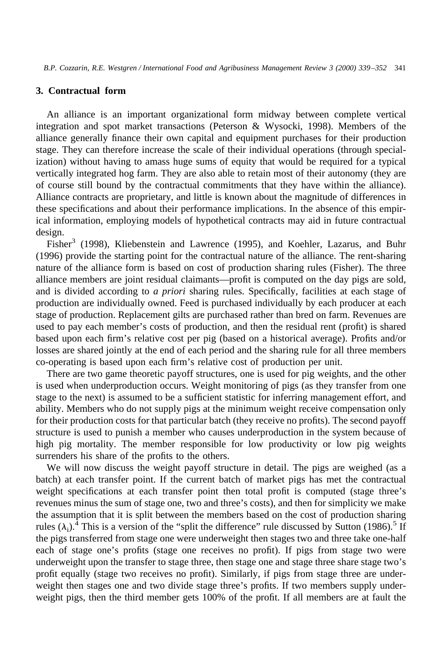#### **3. Contractual form**

An alliance is an important organizational form midway between complete vertical integration and spot market transactions (Peterson & Wysocki, 1998). Members of the alliance generally finance their own capital and equipment purchases for their production stage. They can therefore increase the scale of their individual operations (through specialization) without having to amass huge sums of equity that would be required for a typical vertically integrated hog farm. They are also able to retain most of their autonomy (they are of course still bound by the contractual commitments that they have within the alliance). Alliance contracts are proprietary, and little is known about the magnitude of differences in these specifications and about their performance implications. In the absence of this empirical information, employing models of hypothetical contracts may aid in future contractual design.

Fisher<sup>3</sup> (1998), Kliebenstein and Lawrence (1995), and Koehler, Lazarus, and Buhr (1996) provide the starting point for the contractual nature of the alliance. The rent-sharing nature of the alliance form is based on cost of production sharing rules (Fisher). The three alliance members are joint residual claimants—profit is computed on the day pigs are sold, and is divided according to *a priori* sharing rules. Specifically, facilities at each stage of production are individually owned. Feed is purchased individually by each producer at each stage of production. Replacement gilts are purchased rather than bred on farm. Revenues are used to pay each member's costs of production, and then the residual rent (profit) is shared based upon each firm's relative cost per pig (based on a historical average). Profits and/or losses are shared jointly at the end of each period and the sharing rule for all three members co-operating is based upon each firm's relative cost of production per unit.

There are two game theoretic payoff structures, one is used for pig weights, and the other is used when underproduction occurs. Weight monitoring of pigs (as they transfer from one stage to the next) is assumed to be a sufficient statistic for inferring management effort, and ability. Members who do not supply pigs at the minimum weight receive compensation only for their production costs for that particular batch (they receive no profits). The second payoff structure is used to punish a member who causes underproduction in the system because of high pig mortality. The member responsible for low productivity or low pig weights surrenders his share of the profits to the others.

We will now discuss the weight payoff structure in detail. The pigs are weighed (as a batch) at each transfer point. If the current batch of market pigs has met the contractual weight specifications at each transfer point then total profit is computed (stage three's revenues minus the sum of stage one, two and three's costs), and then for simplicity we make the assumption that it is split between the members based on the cost of production sharing rules  $(\lambda_i)$ .<sup>4</sup> This is a version of the "split the difference" rule discussed by Sutton (1986).<sup>5</sup> If the pigs transferred from stage one were underweight then stages two and three take one-half each of stage one's profits (stage one receives no profit). If pigs from stage two were underweight upon the transfer to stage three, then stage one and stage three share stage two's profit equally (stage two receives no profit). Similarly, if pigs from stage three are underweight then stages one and two divide stage three's profits. If two members supply underweight pigs, then the third member gets 100% of the profit. If all members are at fault the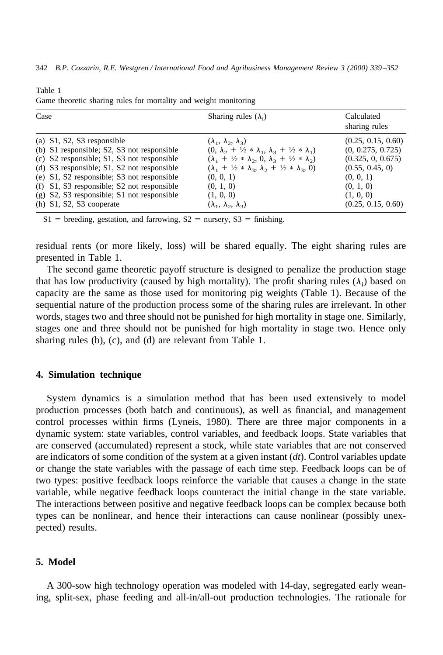| Case |                                                                                                                                                                                                                                                                                                                            | Sharing rules $(\lambda_i)$                                                                                                                                                                                                                                                                                                         | Calculated<br>sharing rules                                                                                            |
|------|----------------------------------------------------------------------------------------------------------------------------------------------------------------------------------------------------------------------------------------------------------------------------------------------------------------------------|-------------------------------------------------------------------------------------------------------------------------------------------------------------------------------------------------------------------------------------------------------------------------------------------------------------------------------------|------------------------------------------------------------------------------------------------------------------------|
|      | (a) $S1$ , $S2$ , $S3$ responsible<br>(b) S1 responsible; S2, S3 not responsible<br>(c) S2 responsible; S1, S3 not responsible<br>(d) S3 responsible; S1, S2 not responsible<br>(e) S1, S2 responsible; S3 not responsible<br>$(f)$ S1, S3 responsible; S2 not responsible<br>$(g)$ S2, S3 responsible; S1 not responsible | $(\lambda_1, \lambda_2, \lambda_3)$<br>$(0, \lambda_2 + \frac{1}{2} * \lambda_1, \lambda_3 + \frac{1}{2} * \lambda_1)$<br>$(\lambda_1 + \frac{1}{2} * \lambda_2, 0, \lambda_3 + \frac{1}{2} * \lambda_2)$<br>$(\lambda_1 + \frac{1}{2} * \lambda_3, \lambda_2 + \frac{1}{2} * \lambda_3, 0)$<br>(0, 0, 1)<br>(0, 1, 0)<br>(1, 0, 0) | (0.25, 0.15, 0.60)<br>(0, 0.275, 0.725)<br>(0.325, 0, 0.675)<br>(0.55, 0.45, 0)<br>(0, 0, 1)<br>(0, 1, 0)<br>(1, 0, 0) |
|      | $(h)$ S1, S2, S3 cooperate                                                                                                                                                                                                                                                                                                 | $(\lambda_1, \lambda_2, \lambda_3)$                                                                                                                                                                                                                                                                                                 | (0.25, 0.15, 0.60)                                                                                                     |

Game theoretic sharing rules for mortality and weight monitoring

 $S1$  = breeding, gestation, and farrowing,  $S2$  = nursery,  $S3$  = finishing.

residual rents (or more likely, loss) will be shared equally. The eight sharing rules are presented in Table 1.

The second game theoretic payoff structure is designed to penalize the production stage that has low productivity (caused by high mortality). The profit sharing rules  $(\lambda_i)$  based on capacity are the same as those used for monitoring pig weights (Table 1). Because of the sequential nature of the production process some of the sharing rules are irrelevant. In other words, stages two and three should not be punished for high mortality in stage one. Similarly, stages one and three should not be punished for high mortality in stage two. Hence only sharing rules (b), (c), and (d) are relevant from Table 1.

#### **4. Simulation technique**

Table 1

System dynamics is a simulation method that has been used extensively to model production processes (both batch and continuous), as well as financial, and management control processes within firms (Lyneis, 1980). There are three major components in a dynamic system: state variables, control variables, and feedback loops. State variables that are conserved (accumulated) represent a stock, while state variables that are not conserved are indicators of some condition of the system at a given instant (*dt*). Control variables update or change the state variables with the passage of each time step. Feedback loops can be of two types: positive feedback loops reinforce the variable that causes a change in the state variable, while negative feedback loops counteract the initial change in the state variable. The interactions between positive and negative feedback loops can be complex because both types can be nonlinear, and hence their interactions can cause nonlinear (possibly unexpected) results.

## **5. Model**

A 300-sow high technology operation was modeled with 14-day, segregated early weaning, split-sex, phase feeding and all-in/all-out production technologies. The rationale for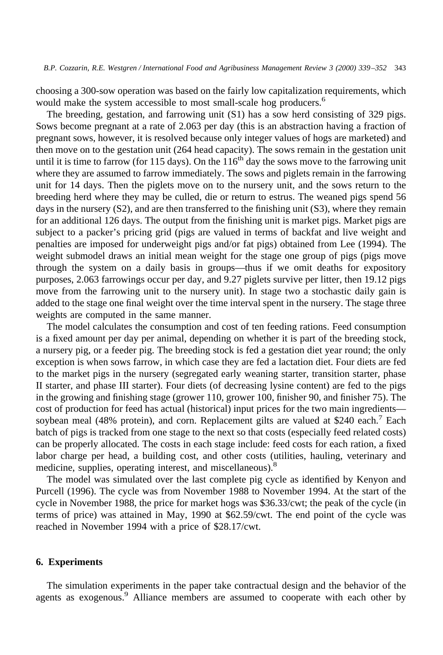choosing a 300-sow operation was based on the fairly low capitalization requirements, which would make the system accessible to most small-scale hog producers.<sup>6</sup>

The breeding, gestation, and farrowing unit (S1) has a sow herd consisting of 329 pigs. Sows become pregnant at a rate of 2.063 per day (this is an abstraction having a fraction of pregnant sows, however, it is resolved because only integer values of hogs are marketed) and then move on to the gestation unit (264 head capacity). The sows remain in the gestation unit until it is time to farrow (for 115 days). On the  $116<sup>th</sup>$  day the sows move to the farrowing unit where they are assumed to farrow immediately. The sows and piglets remain in the farrowing unit for 14 days. Then the piglets move on to the nursery unit, and the sows return to the breeding herd where they may be culled, die or return to estrus. The weaned pigs spend 56 days in the nursery (S2), and are then transferred to the finishing unit (S3), where they remain for an additional 126 days. The output from the finishing unit is market pigs. Market pigs are subject to a packer's pricing grid (pigs are valued in terms of backfat and live weight and penalties are imposed for underweight pigs and/or fat pigs) obtained from Lee (1994). The weight submodel draws an initial mean weight for the stage one group of pigs (pigs move through the system on a daily basis in groups—thus if we omit deaths for expository purposes, 2.063 farrowings occur per day, and 9.27 piglets survive per litter, then 19.12 pigs move from the farrowing unit to the nursery unit). In stage two a stochastic daily gain is added to the stage one final weight over the time interval spent in the nursery. The stage three weights are computed in the same manner.

The model calculates the consumption and cost of ten feeding rations. Feed consumption is a fixed amount per day per animal, depending on whether it is part of the breeding stock, a nursery pig, or a feeder pig. The breeding stock is fed a gestation diet year round; the only exception is when sows farrow, in which case they are fed a lactation diet. Four diets are fed to the market pigs in the nursery (segregated early weaning starter, transition starter, phase II starter, and phase III starter). Four diets (of decreasing lysine content) are fed to the pigs in the growing and finishing stage (grower 110, grower 100, finisher 90, and finisher 75). The cost of production for feed has actual (historical) input prices for the two main ingredients soybean meal (48% protein), and corn. Replacement gilts are valued at \$240 each.<sup>7</sup> Each batch of pigs is tracked from one stage to the next so that costs (especially feed related costs) can be properly allocated. The costs in each stage include: feed costs for each ration, a fixed labor charge per head, a building cost, and other costs (utilities, hauling, veterinary and medicine, supplies, operating interest, and miscellaneous).<sup>8</sup>

The model was simulated over the last complete pig cycle as identified by Kenyon and Purcell (1996). The cycle was from November 1988 to November 1994. At the start of the cycle in November 1988, the price for market hogs was \$36.33/cwt; the peak of the cycle (in terms of price) was attained in May, 1990 at \$62.59/cwt. The end point of the cycle was reached in November 1994 with a price of \$28.17/cwt.

# **6. Experiments**

The simulation experiments in the paper take contractual design and the behavior of the agents as exogenous.<sup>9</sup> Alliance members are assumed to cooperate with each other by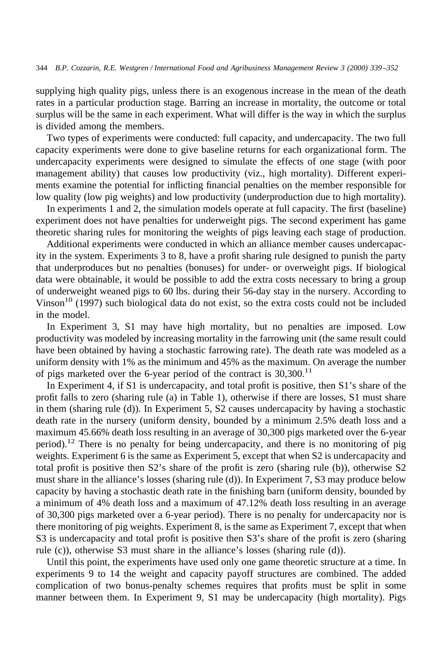supplying high quality pigs, unless there is an exogenous increase in the mean of the death rates in a particular production stage. Barring an increase in mortality, the outcome or total surplus will be the same in each experiment. What will differ is the way in which the surplus is divided among the members.

Two types of experiments were conducted: full capacity, and undercapacity. The two full capacity experiments were done to give baseline returns for each organizational form. The undercapacity experiments were designed to simulate the effects of one stage (with poor management ability) that causes low productivity (viz., high mortality). Different experiments examine the potential for inflicting financial penalties on the member responsible for low quality (low pig weights) and low productivity (underproduction due to high mortality).

In experiments 1 and 2, the simulation models operate at full capacity. The first (baseline) experiment does not have penalties for underweight pigs. The second experiment has game theoretic sharing rules for monitoring the weights of pigs leaving each stage of production.

Additional experiments were conducted in which an alliance member causes undercapacity in the system. Experiments 3 to 8, have a profit sharing rule designed to punish the party that underproduces but no penalties (bonuses) for under- or overweight pigs. If biological data were obtainable, it would be possible to add the extra costs necessary to bring a group of underweight weaned pigs to 60 lbs. during their 56-day stay in the nursery. According to Vinson<sup>10</sup> (1997) such biological data do not exist, so the extra costs could not be included in the model.

In Experiment 3, S1 may have high mortality, but no penalties are imposed. Low productivity was modeled by increasing mortality in the farrowing unit (the same result could have been obtained by having a stochastic farrowing rate). The death rate was modeled as a uniform density with 1% as the minimum and 45% as the maximum. On average the number of pigs marketed over the 6-year period of the contract is  $30,300$ .<sup>11</sup>

In Experiment 4, if S1 is undercapacity, and total profit is positive, then S1's share of the profit falls to zero (sharing rule (a) in Table 1), otherwise if there are losses, S1 must share in them (sharing rule (d)). In Experiment 5, S2 causes undercapacity by having a stochastic death rate in the nursery (uniform density, bounded by a minimum 2.5% death loss and a maximum 45.66% death loss resulting in an average of 30,300 pigs marketed over the 6-year period).12 There is no penalty for being undercapacity, and there is no monitoring of pig weights. Experiment 6 is the same as Experiment 5, except that when S2 is undercapacity and total profit is positive then S2's share of the profit is zero (sharing rule (b)), otherwise S2 must share in the alliance's losses (sharing rule (d)). In Experiment 7, S3 may produce below capacity by having a stochastic death rate in the finishing barn (uniform density, bounded by a minimum of 4% death loss and a maximum of 47.12% death loss resulting in an average of 30,300 pigs marketed over a 6-year period). There is no penalty for undercapacity nor is there monitoring of pig weights. Experiment 8, is the same as Experiment 7, except that when S3 is undercapacity and total profit is positive then S3's share of the profit is zero (sharing rule (c)), otherwise S3 must share in the alliance's losses (sharing rule (d)).

Until this point, the experiments have used only one game theoretic structure at a time. In experiments 9 to 14 the weight and capacity payoff structures are combined. The added complication of two bonus-penalty schemes requires that profits must be split in some manner between them. In Experiment 9, S1 may be undercapacity (high mortality). Pigs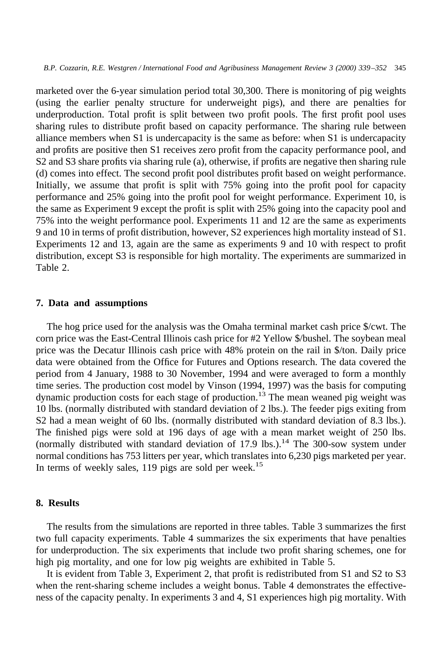marketed over the 6-year simulation period total 30,300. There is monitoring of pig weights (using the earlier penalty structure for underweight pigs), and there are penalties for underproduction. Total profit is split between two profit pools. The first profit pool uses sharing rules to distribute profit based on capacity performance. The sharing rule between alliance members when S1 is undercapacity is the same as before: when S1 is undercapacity and profits are positive then S1 receives zero profit from the capacity performance pool, and S2 and S3 share profits via sharing rule (a), otherwise, if profits are negative then sharing rule (d) comes into effect. The second profit pool distributes profit based on weight performance. Initially, we assume that profit is split with 75% going into the profit pool for capacity performance and 25% going into the profit pool for weight performance. Experiment 10, is the same as Experiment 9 except the profit is split with 25% going into the capacity pool and 75% into the weight performance pool. Experiments 11 and 12 are the same as experiments 9 and 10 in terms of profit distribution, however, S2 experiences high mortality instead of S1. Experiments 12 and 13, again are the same as experiments 9 and 10 with respect to profit distribution, except S3 is responsible for high mortality. The experiments are summarized in Table 2.

#### **7. Data and assumptions**

The hog price used for the analysis was the Omaha terminal market cash price \$/cwt. The corn price was the East-Central Illinois cash price for #2 Yellow \$/bushel. The soybean meal price was the Decatur Illinois cash price with 48% protein on the rail in \$/ton. Daily price data were obtained from the Office for Futures and Options research. The data covered the period from 4 January, 1988 to 30 November, 1994 and were averaged to form a monthly time series. The production cost model by Vinson (1994, 1997) was the basis for computing dynamic production costs for each stage of production.<sup>13</sup> The mean weaned pig weight was 10 lbs. (normally distributed with standard deviation of 2 lbs.). The feeder pigs exiting from S2 had a mean weight of 60 lbs. (normally distributed with standard deviation of 8.3 lbs.). The finished pigs were sold at 196 days of age with a mean market weight of 250 lbs. (normally distributed with standard deviation of  $17.9$  lbs.).<sup>14</sup> The 300-sow system under normal conditions has 753 litters per year, which translates into 6,230 pigs marketed per year. In terms of weekly sales,  $119$  pigs are sold per week.<sup>15</sup>

#### **8. Results**

The results from the simulations are reported in three tables. Table 3 summarizes the first two full capacity experiments. Table 4 summarizes the six experiments that have penalties for underproduction. The six experiments that include two profit sharing schemes, one for high pig mortality, and one for low pig weights are exhibited in Table 5.

It is evident from Table 3, Experiment 2, that profit is redistributed from S1 and S2 to S3 when the rent-sharing scheme includes a weight bonus. Table 4 demonstrates the effectiveness of the capacity penalty. In experiments 3 and 4, S1 experiences high pig mortality. With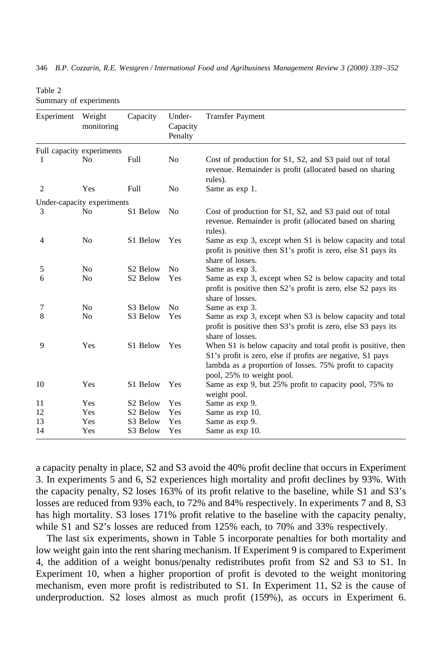346 *B.P. Cozzarin, R.E. Westgren / International Food and Agribusiness Management Review 3 (2000) 339–352*

# Table 2 Summary of experiments

| Experiment     | Weight<br>monitoring       | Capacity             | Under-<br>Capacity<br>Penalty | <b>Transfer Payment</b>                                                                                                                                                                                             |
|----------------|----------------------------|----------------------|-------------------------------|---------------------------------------------------------------------------------------------------------------------------------------------------------------------------------------------------------------------|
|                | Full capacity experiments  |                      |                               |                                                                                                                                                                                                                     |
| 1              | No                         | Full                 | No                            | Cost of production for S1, S2, and S3 paid out of total<br>revenue. Remainder is profit (allocated based on sharing<br>rules).                                                                                      |
| $\overline{2}$ | Yes                        | Full                 | No                            | Same as exp 1.                                                                                                                                                                                                      |
|                | Under-capacity experiments |                      |                               |                                                                                                                                                                                                                     |
| 3              | No                         | S1 Below             | No                            | Cost of production for S1, S2, and S3 paid out of total<br>revenue. Remainder is profit (allocated based on sharing<br>rules).                                                                                      |
| 4              | No                         | S1 Below             | Yes                           | Same as exp 3, except when S1 is below capacity and total<br>profit is positive then S1's profit is zero, else S1 pays its<br>share of losses.                                                                      |
| 5              | N <sub>0</sub>             | S <sub>2</sub> Below | N <sub>0</sub>                | Same as exp 3.                                                                                                                                                                                                      |
| 6              | No                         | S <sub>2</sub> Below | Yes                           | Same as exp 3, except when S2 is below capacity and total<br>profit is positive then S2's profit is zero, else S2 pays its<br>share of losses.                                                                      |
| 7              | N <sub>o</sub>             | S3 Below             | No                            | Same as exp 3.                                                                                                                                                                                                      |
| 8              | N <sub>0</sub>             | S3 Below             | Yes                           | Same as exp 3, except when S3 is below capacity and total<br>profit is positive then S3's profit is zero, else S3 pays its<br>share of losses.                                                                      |
| 9              | Yes                        | S1 Below             | Yes                           | When S1 is below capacity and total profit is positive, then<br>S1's profit is zero, else if profits are negative, S1 pays<br>lambda as a proportion of losses. 75% profit to capacity<br>pool, 25% to weight pool. |
| 10             | Yes                        | S1 Below             | Yes                           | Same as exp 9, but 25% profit to capacity pool, 75% to<br>weight pool.                                                                                                                                              |
| 11             | Yes                        | S <sub>2</sub> Below | Yes                           | Same as exp 9.                                                                                                                                                                                                      |
| 12             | Yes                        | S <sub>2</sub> Below | Yes                           | Same as exp 10.                                                                                                                                                                                                     |
| 13             | Yes                        | S3 Below             | Yes                           | Same as exp 9.                                                                                                                                                                                                      |
| 14             | Yes                        | S3 Below             | Yes                           | Same as exp 10.                                                                                                                                                                                                     |

a capacity penalty in place, S2 and S3 avoid the 40% profit decline that occurs in Experiment 3. In experiments 5 and 6, S2 experiences high mortality and profit declines by 93%. With the capacity penalty, S2 loses 163% of its profit relative to the baseline, while S1 and S3's losses are reduced from 93% each, to 72% and 84% respectively. In experiments 7 and 8, S3 has high mortality. S3 loses 171% profit relative to the baseline with the capacity penalty, while S1 and S2's losses are reduced from 125% each, to 70% and 33% respectively.

The last six experiments, shown in Table 5 incorporate penalties for both mortality and low weight gain into the rent sharing mechanism. If Experiment 9 is compared to Experiment 4, the addition of a weight bonus/penalty redistributes profit from S2 and S3 to S1. In Experiment 10, when a higher proportion of profit is devoted to the weight monitoring mechanism, even more profit is redistributed to S1. In Experiment 11, S2 is the cause of underproduction. S2 loses almost as much profit (159%), as occurs in Experiment 6.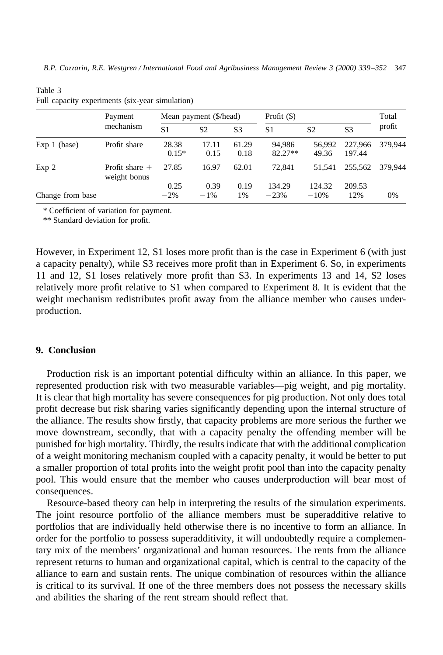|                  | Payment<br>mechanism             | Mean payment (\$/head) |                |                | Profit $(\$)$       |                  |                   | Total   |
|------------------|----------------------------------|------------------------|----------------|----------------|---------------------|------------------|-------------------|---------|
|                  |                                  | S1                     | S2             | S <sub>3</sub> | S1                  | S <sub>2</sub>   | S3                | profit  |
| $Exp 1$ (base)   | Profit share                     | 28.38<br>$0.15*$       | 17.11<br>0.15  | 61.29<br>0.18  | 94.986<br>$82.27**$ | 56,992<br>49.36  | 227,966<br>197.44 | 379,944 |
| Exp <sub>2</sub> | Profit share $+$<br>weight bonus | 27.85                  | 16.97          | 62.01          | 72.841              | 51.541           | 255,562           | 379,944 |
| Change from base |                                  | 0.25<br>$-2\%$         | 0.39<br>$-1\%$ | 0.19<br>1%     | 134.29<br>$-23%$    | 124.32<br>$-10%$ | 209.53<br>12%     | 0%      |

Table 3 Full capacity experiments (six-year simulation)

\* Coefficient of variation for payment.

\*\* Standard deviation for profit.

However, in Experiment 12, S1 loses more profit than is the case in Experiment 6 (with just a capacity penalty), while S3 receives more profit than in Experiment 6. So, in experiments 11 and 12, S1 loses relatively more profit than S3. In experiments 13 and 14, S2 loses relatively more profit relative to S1 when compared to Experiment 8. It is evident that the weight mechanism redistributes profit away from the alliance member who causes underproduction.

# **9. Conclusion**

Production risk is an important potential difficulty within an alliance. In this paper, we represented production risk with two measurable variables—pig weight, and pig mortality. It is clear that high mortality has severe consequences for pig production. Not only does total profit decrease but risk sharing varies significantly depending upon the internal structure of the alliance. The results show firstly, that capacity problems are more serious the further we move downstream, secondly, that with a capacity penalty the offending member will be punished for high mortality. Thirdly, the results indicate that with the additional complication of a weight monitoring mechanism coupled with a capacity penalty, it would be better to put a smaller proportion of total profits into the weight profit pool than into the capacity penalty pool. This would ensure that the member who causes underproduction will bear most of consequences.

Resource-based theory can help in interpreting the results of the simulation experiments. The joint resource portfolio of the alliance members must be superadditive relative to portfolios that are individually held otherwise there is no incentive to form an alliance. In order for the portfolio to possess superadditivity, it will undoubtedly require a complementary mix of the members' organizational and human resources. The rents from the alliance represent returns to human and organizational capital, which is central to the capacity of the alliance to earn and sustain rents. The unique combination of resources within the alliance is critical to its survival. If one of the three members does not possess the necessary skills and abilities the sharing of the rent stream should reflect that.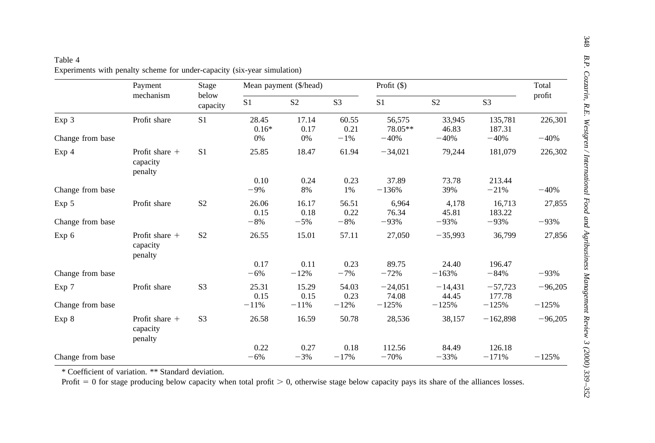# Table 4 Experiments with penalty scheme for under-capacity (six-year simulation)

|                  | Payment<br>mechanism                    | Stage<br>below<br>capacity | Mean payment (\$/head) |                |                | Profit $(\$)$      |                    |                     | Total     |
|------------------|-----------------------------------------|----------------------------|------------------------|----------------|----------------|--------------------|--------------------|---------------------|-----------|
|                  |                                         |                            | S <sub>1</sub>         | S <sub>2</sub> | S <sub>3</sub> | S <sub>1</sub>     | S <sub>2</sub>     | S <sub>3</sub>      | profit    |
| Exp 3            | Profit share                            | S <sub>1</sub>             | 28.45<br>$0.16*$       | 17.14<br>0.17  | 60.55<br>0.21  | 56.575<br>78.05**  | 33,945<br>46.83    | 135,781<br>187.31   | 226,301   |
| Change from base |                                         |                            | 0%                     | 0%             | $-1%$          | $-40%$             | $-40%$             | $-40%$              | $-40%$    |
| Exp 4            | Profit share $+$<br>capacity<br>penalty | S <sub>1</sub>             | 25.85                  | 18.47          | 61.94          | $-34,021$          | 79,244             | 181,079             | 226,302   |
| Change from base |                                         |                            | 0.10<br>$-9%$          | 0.24<br>8%     | 0.23<br>1%     | 37.89<br>$-136%$   | 73.78<br>39%       | 213.44<br>$-21%$    | $-40%$    |
| Exp 5            | Profit share                            | S <sub>2</sub>             | 26.06<br>0.15          | 16.17<br>0.18  | 56.51<br>0.22  | 6,964<br>76.34     | 4,178<br>45.81     | 16,713<br>183.22    | 27,855    |
| Change from base |                                         |                            | $-8%$                  | $-5%$          | $-8%$          | $-93%$             | $-93%$             | $-93%$              | $-93%$    |
| Exp 6            | Profit share $+$<br>capacity<br>penalty | S <sub>2</sub>             | 26.55                  | 15.01          | 57.11          | 27,050             | $-35,993$          | 36,799              | 27,856    |
| Change from base |                                         |                            | 0.17<br>$-6%$          | 0.11<br>$-12%$ | 0.23<br>$-7%$  | 89.75<br>$-72%$    | 24.40<br>$-163%$   | 196.47<br>$-84%$    | $-93%$    |
| Exp 7            | Profit share                            | S <sub>3</sub>             | 25.31<br>0.15          | 15.29<br>0.15  | 54.03<br>0.23  | $-24,051$<br>74.08 | $-14,431$<br>44.45 | $-57,723$<br>177.78 | $-96,205$ |
| Change from base |                                         |                            | $-11%$                 | $-11%$         | $-12%$         | $-125%$            | $-125%$            | $-125%$             | $-125%$   |
| Exp 8            | Profit share $+$<br>capacity<br>penalty | S <sub>3</sub>             | 26.58                  | 16.59          | 50.78          | 28,536             | 38,157             | $-162,898$          | $-96,205$ |
| Change from base |                                         |                            | 0.22<br>$-6%$          | 0.27<br>$-3%$  | 0.18<br>$-17%$ | 112.56<br>$-70%$   | 84.49<br>$-33%$    | 126.18<br>$-171%$   | $-125%$   |

\* Coefficient of variation. \*\* Standard deviation.

Profit  $= 0$  for stage producing below capacity when total profit  $> 0$ , otherwise stage below capacity pays its share of the alliances losses.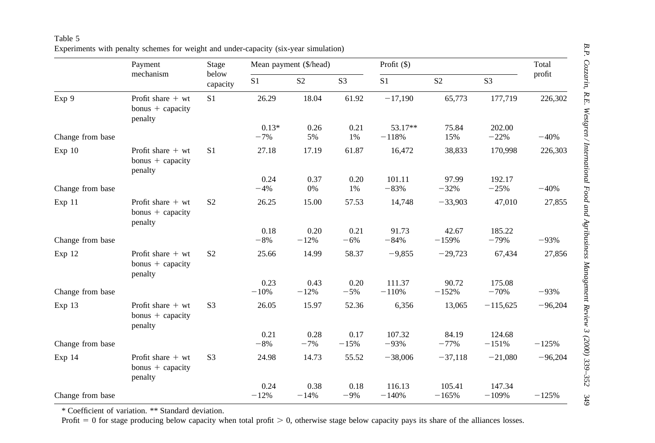|                  | Payment<br>mechanism                                 | Stage<br>below<br>capacity | Mean payment (\$/head) |                |                | Profit $(\$)$          |                   |                   | Total     |
|------------------|------------------------------------------------------|----------------------------|------------------------|----------------|----------------|------------------------|-------------------|-------------------|-----------|
|                  |                                                      |                            | S <sub>1</sub>         | S <sub>2</sub> | S <sub>3</sub> | S <sub>1</sub>         | S <sub>2</sub>    | S3                | profit    |
| Exp 9            | Profit share $+$ wt<br>bonus $+$ capacity<br>penalty | S <sub>1</sub>             | 26.29<br>$0.13*$       | 18.04          | 61.92          | $-17,190$<br>$53.17**$ | 65,773            | 177,719           | 226,302   |
| Change from base |                                                      |                            | $-7%$                  | 0.26<br>5%     | 0.21<br>1%     | $-118%$                | 75.84<br>15%      | 202.00<br>$-22%$  | $-40%$    |
| Exp 10           | Profit share $+$ wt<br>bonus + capacity<br>penalty   | S <sub>1</sub>             | 27.18                  | 17.19          | 61.87          | 16,472                 | 38,833            | 170,998           | 226,303   |
| Change from base |                                                      |                            | 0.24<br>$-4%$          | 0.37<br>0%     | 0.20<br>1%     | 101.11<br>$-83%$       | 97.99<br>$-32%$   | 192.17<br>$-25%$  | $-40%$    |
| Exp 11           | Profit share $+$ wt<br>bonus + capacity<br>penalty   | S <sub>2</sub>             | 26.25                  | 15.00          | 57.53          | 14,748                 | $-33,903$         | 47,010            | 27,855    |
| Change from base |                                                      |                            | 0.18<br>$-8%$          | 0.20<br>$-12%$ | 0.21<br>$-6%$  | 91.73<br>$-84%$        | 42.67<br>$-159%$  | 185.22<br>$-79%$  | $-93%$    |
| Exp 12           | Profit share $+wt$<br>bonus $+$ capacity<br>penalty  | S <sub>2</sub>             | 25.66                  | 14.99          | 58.37          | $-9,855$               | $-29,723$         | 67,434            | 27,856    |
| Change from base |                                                      |                            | 0.23<br>$-10%$         | 0.43<br>$-12%$ | 0.20<br>$-5%$  | 111.37<br>$-110%$      | 90.72<br>$-152%$  | 175.08<br>$-70%$  | $-93%$    |
| Exp 13           | Profit share $+$ wt<br>bonus $+$ capacity<br>penalty | S <sub>3</sub>             | 26.05                  | 15.97          | 52.36          | 6,356                  | 13,065            | $-115,625$        | $-96,204$ |
| Change from base |                                                      |                            | 0.21<br>$-8%$          | 0.28<br>$-7%$  | 0.17<br>$-15%$ | 107.32<br>$-93%$       | 84.19<br>$-77%$   | 124.68<br>$-151%$ | $-125%$   |
| Exp 14           | Profit share $+$ wt<br>bonus $+$ capacity<br>penalty | S <sub>3</sub>             | 24.98                  | 14.73          | 55.52          | $-38,006$              | $-37,118$         | $-21,080$         | $-96,204$ |
| Change from base |                                                      |                            | 0.24<br>$-12%$         | 0.38<br>$-14%$ | 0.18<br>$-9%$  | 116.13<br>$-140%$      | 105.41<br>$-165%$ | 147.34<br>$-109%$ | $-125%$   |

Table 5 Experiments with penalty schemes for weight and under-capacity (six-year simulation)

\* Coefficient of variation. \*\* Standard deviation.

Profit  $= 0$  for stage producing below capacity when total profit  $> 0$ , otherwise stage below capacity pays its share of the alliances losses.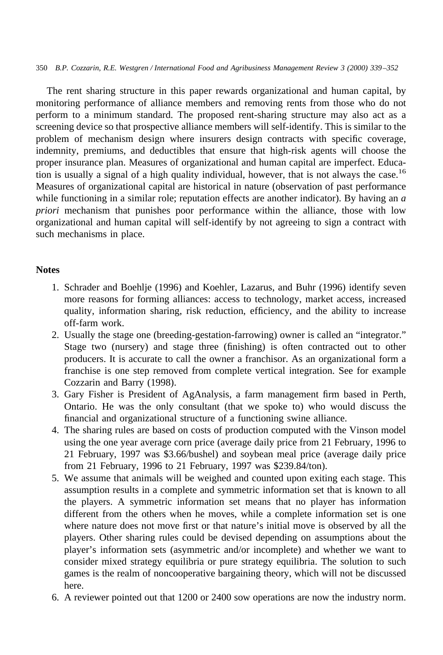350 *B.P. Cozzarin, R.E. Westgren / International Food and Agribusiness Management Review 3 (2000) 339–352*

The rent sharing structure in this paper rewards organizational and human capital, by monitoring performance of alliance members and removing rents from those who do not perform to a minimum standard. The proposed rent-sharing structure may also act as a screening device so that prospective alliance members will self-identify. This is similar to the problem of mechanism design where insurers design contracts with specific coverage, indemnity, premiums, and deductibles that ensure that high-risk agents will choose the proper insurance plan. Measures of organizational and human capital are imperfect. Education is usually a signal of a high quality individual, however, that is not always the case.<sup>16</sup> Measures of organizational capital are historical in nature (observation of past performance while functioning in a similar role; reputation effects are another indicator). By having an *a priori* mechanism that punishes poor performance within the alliance, those with low organizational and human capital will self-identify by not agreeing to sign a contract with such mechanisms in place.

# **Notes**

- 1. Schrader and Boehlje (1996) and Koehler, Lazarus, and Buhr (1996) identify seven more reasons for forming alliances: access to technology, market access, increased quality, information sharing, risk reduction, efficiency, and the ability to increase off-farm work.
- 2. Usually the stage one (breeding-gestation-farrowing) owner is called an "integrator." Stage two (nursery) and stage three (finishing) is often contracted out to other producers. It is accurate to call the owner a franchisor. As an organizational form a franchise is one step removed from complete vertical integration. See for example Cozzarin and Barry (1998).
- 3. Gary Fisher is President of AgAnalysis, a farm management firm based in Perth, Ontario. He was the only consultant (that we spoke to) who would discuss the financial and organizational structure of a functioning swine alliance.
- 4. The sharing rules are based on costs of production computed with the Vinson model using the one year average corn price (average daily price from 21 February, 1996 to 21 February, 1997 was \$3.66/bushel) and soybean meal price (average daily price from 21 February, 1996 to 21 February, 1997 was \$239.84/ton).
- 5. We assume that animals will be weighed and counted upon exiting each stage. This assumption results in a complete and symmetric information set that is known to all the players. A symmetric information set means that no player has information different from the others when he moves, while a complete information set is one where nature does not move first or that nature's initial move is observed by all the players. Other sharing rules could be devised depending on assumptions about the player's information sets (asymmetric and/or incomplete) and whether we want to consider mixed strategy equilibria or pure strategy equilibria. The solution to such games is the realm of noncooperative bargaining theory, which will not be discussed here.
- 6. A reviewer pointed out that 1200 or 2400 sow operations are now the industry norm.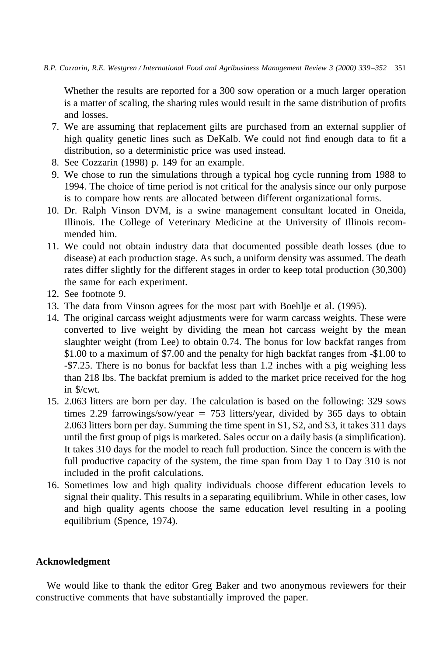Whether the results are reported for a 300 sow operation or a much larger operation is a matter of scaling, the sharing rules would result in the same distribution of profits and losses.

- 7. We are assuming that replacement gilts are purchased from an external supplier of high quality genetic lines such as DeKalb. We could not find enough data to fit a distribution, so a deterministic price was used instead.
- 8. See Cozzarin (1998) p. 149 for an example.
- 9. We chose to run the simulations through a typical hog cycle running from 1988 to 1994. The choice of time period is not critical for the analysis since our only purpose is to compare how rents are allocated between different organizational forms.
- 10. Dr. Ralph Vinson DVM, is a swine management consultant located in Oneida, Illinois. The College of Veterinary Medicine at the University of Illinois recommended him.
- 11. We could not obtain industry data that documented possible death losses (due to disease) at each production stage. As such, a uniform density was assumed. The death rates differ slightly for the different stages in order to keep total production (30,300) the same for each experiment.
- 12. See footnote 9.
- 13. The data from Vinson agrees for the most part with Boehlje et al. (1995).
- 14. The original carcass weight adjustments were for warm carcass weights. These were converted to live weight by dividing the mean hot carcass weight by the mean slaughter weight (from Lee) to obtain 0.74. The bonus for low backfat ranges from \$1.00 to a maximum of \$7.00 and the penalty for high backfat ranges from -\$1.00 to -\$7.25. There is no bonus for backfat less than 1.2 inches with a pig weighing less than 218 lbs. The backfat premium is added to the market price received for the hog in \$/cwt.
- 15. 2.063 litters are born per day. The calculation is based on the following: 329 sows times 2.29 farrowings/sow/year  $= 753$  litters/year, divided by 365 days to obtain 2.063 litters born per day. Summing the time spent in S1, S2, and S3, it takes 311 days until the first group of pigs is marketed. Sales occur on a daily basis (a simplification). It takes 310 days for the model to reach full production. Since the concern is with the full productive capacity of the system, the time span from Day 1 to Day 310 is not included in the profit calculations.
- 16. Sometimes low and high quality individuals choose different education levels to signal their quality. This results in a separating equilibrium. While in other cases, low and high quality agents choose the same education level resulting in a pooling equilibrium (Spence, 1974).

# **Acknowledgment**

We would like to thank the editor Greg Baker and two anonymous reviewers for their constructive comments that have substantially improved the paper.